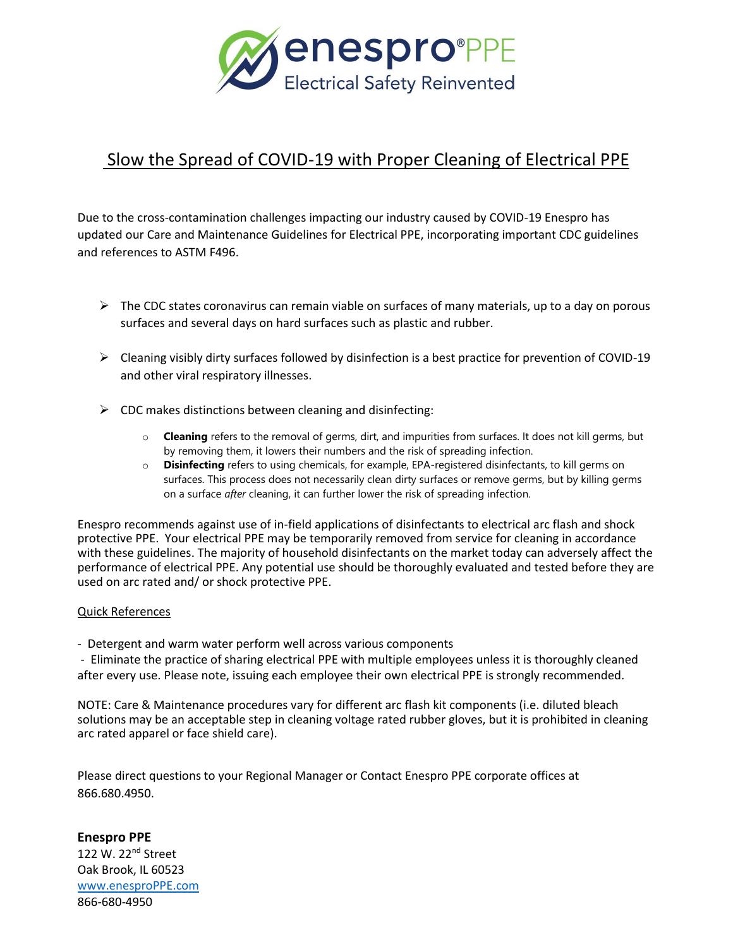

# Slow the Spread of COVID-19 with Proper Cleaning of Electrical PPE

Due to the cross-contamination challenges impacting our industry caused by COVID-19 Enespro has updated our Care and Maintenance Guidelines for Electrical PPE, incorporating important CDC guidelines and references to ASTM F496.

- $\triangleright$  The CDC states coronavirus can remain viable on surfaces of many materials, up to a day on porous surfaces and several days on hard surfaces such as plastic and rubber.
- $\triangleright$  Cleaning visibly dirty surfaces followed by disinfection is a best practice for prevention of COVID-19 and other viral respiratory illnesses.
- $\triangleright$  CDC makes distinctions between cleaning and disinfecting:
	- o **Cleaning** refers to the removal of germs, dirt, and impurities from surfaces. It does not kill germs, but by removing them, it lowers their numbers and the risk of spreading infection.
	- o **Disinfecting** refers to using chemicals, for example, EPA-registered disinfectants, to kill germs on surfaces. This process does not necessarily clean dirty surfaces or remove germs, but by killing germs on a surface *after* cleaning, it can further lower the risk of spreading infection.

Enespro recommends against use of in-field applications of disinfectants to electrical arc flash and shock protective PPE. Your electrical PPE may be temporarily removed from service for cleaning in accordance with these guidelines. The majority of household disinfectants on the market today can adversely affect the performance of electrical PPE. Any potential use should be thoroughly evaluated and tested before they are used on arc rated and/ or shock protective PPE.

# Quick References

- Detergent and warm water perform well across various components

- Eliminate the practice of sharing electrical PPE with multiple employees unless it is thoroughly cleaned after every use. Please note, issuing each employee their own electrical PPE is strongly recommended.

NOTE: Care & Maintenance procedures vary for different arc flash kit components (i.e. diluted bleach solutions may be an acceptable step in cleaning voltage rated rubber gloves, but it is prohibited in cleaning arc rated apparel or face shield care).

Please direct questions to your Regional Manager or Contact Enespro PPE corporate offices at 866.680.4950.

**Enespro PPE** 122 W. 22<sup>nd</sup> Street Oak Brook, IL 60523 [www.enesproPPE.com](http://www.enesproppe.com/) 866-680-4950